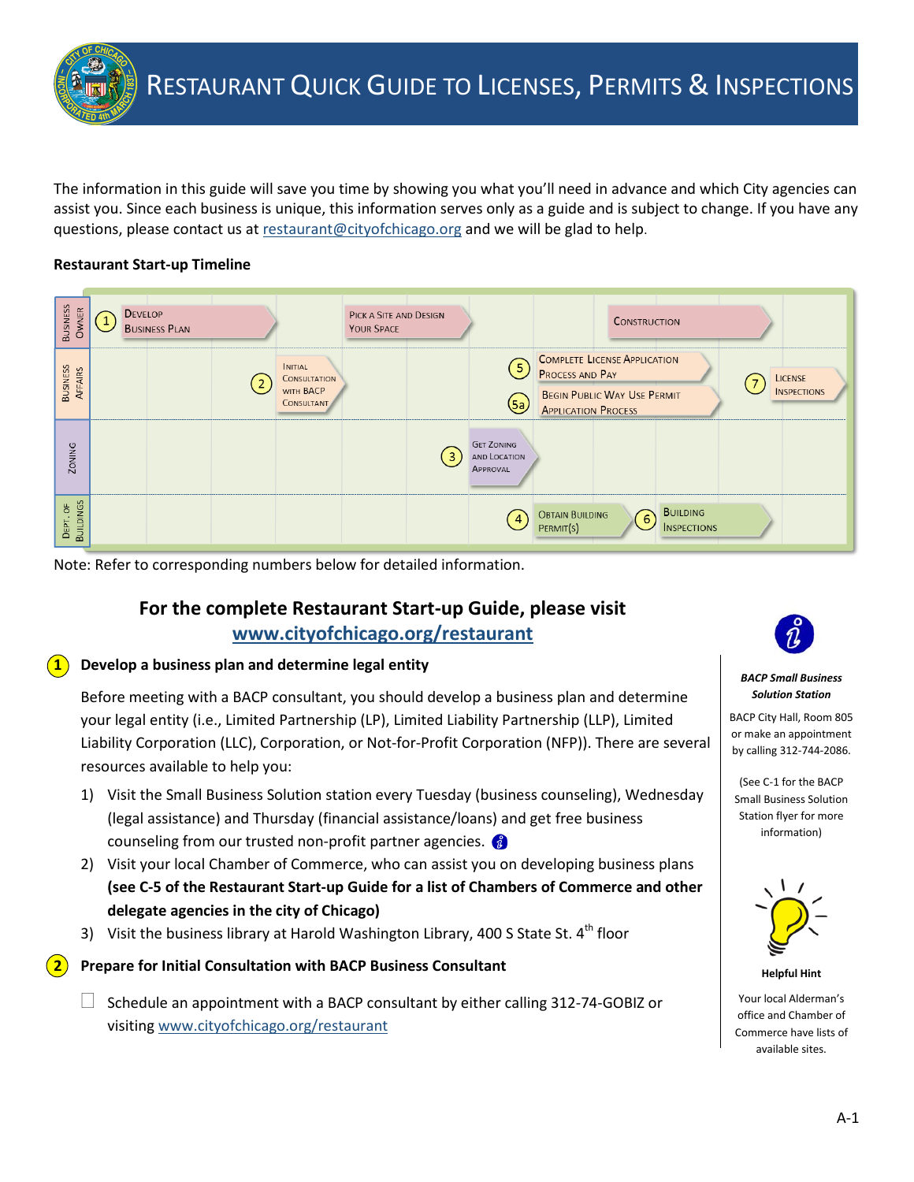The information in this guide will save you time by showing you what you'll need in advance and which City agencies can assist you. Since each business is unique, this information serves only as a guide and is subject to change. If you have any questions, please contact us at [restaurant@cityofchicago.org](mailto:restaurant@cityofchicago.org) and we will be glad to help.

#### **Restaurant Start-up Timeline**

| <b>BUSINESS</b><br>OWNER                        | <b>DEVELOP</b><br><b>BUSINESS PLAN</b> | PICK A SITE AND DESIGN<br>YOUR SPACE                                    |                                                     | <b>CONSTRUCTION</b>                                                                                                                                                       |
|-------------------------------------------------|----------------------------------------|-------------------------------------------------------------------------|-----------------------------------------------------|---------------------------------------------------------------------------------------------------------------------------------------------------------------------------|
| <b>BUSINESS</b><br>AFFAIRS                      |                                        | <b>INITIAL</b><br><b>CONSULTATION</b><br>WITH BACP<br><b>CONSULTANT</b> | $\mathfrak{S}$<br>$\binom{5}{3}$                    | <b>COMPLETE LICENSE APPLICATION</b><br><b>PROCESS AND PAY</b><br><b>LICENSE</b><br><b>INSPECTIONS</b><br><b>BEGIN PUBLIC WAY USE PERMIT</b><br><b>APPLICATION PROCESS</b> |
| ZONING                                          |                                        |                                                                         | <b>GET ZONING</b><br>AND LOCATION<br>3.<br>APPROVAL |                                                                                                                                                                           |
| <b>BUILDINGS</b><br>$\overline{\sigma}$<br>DEF. |                                        |                                                                         | $\overline{4}$                                      | <b>BUILDING</b><br><b>OBTAIN BUILDING</b><br>6<br>PERMIT(S)<br><b>INSPECTIONS</b>                                                                                         |

Note: Refer to corresponding numbers below for detailed information.

# **For the complete Restaurant Start-up Guide, please visit [www.cityofchicago.org/restaurant](http://www.cityofchicago.org/restaurant)**

## **1 Develop a business plan and determine legal entity**

Before meeting with a BACP consultant, you should develop a business plan and determine your legal entity (i.e., Limited Partnership (LP), Limited Liability Partnership (LLP), Limited Liability Corporation (LLC), Corporation, or Not-for-Profit Corporation (NFP)). There are several resources available to help you:

- 1) Visit the Small Business Solution station every Tuesday (business counseling), Wednesday (legal assistance) and Thursday (financial assistance/loans) and get free business counseling from our trusted non-profit partner agencies.  $\bigcirc$
- 2) Visit your local Chamber of Commerce, who can assist you on developing business plans **(see C-5 of the Restaurant Start-up Guide for a list of Chambers of Commerce and other delegate agencies in the city of Chicago)**
- 3) Visit the business library at Harold Washington Library, 400 S State St. 4<sup>th</sup> floor

## **2 Prepare for Initial Consultation with BACP Business Consultant**

 $\Box$  Schedule an appointment with a BACP consultant by either calling 312-74-GOBIZ or visiting [www.cityofchicago.org/restaurant](http://www.cityofchicago.org/restaurant)



#### *BACP Small Business Solution Station*

BACP City Hall, Room 805 or make an appointment by calling 312-744-2086.

(See C-1 for the BACP Small Business Solution Station flyer for more information)



**Helpful Hint**

Your local Alderman's office and Chamber of Commerce have lists of available sites.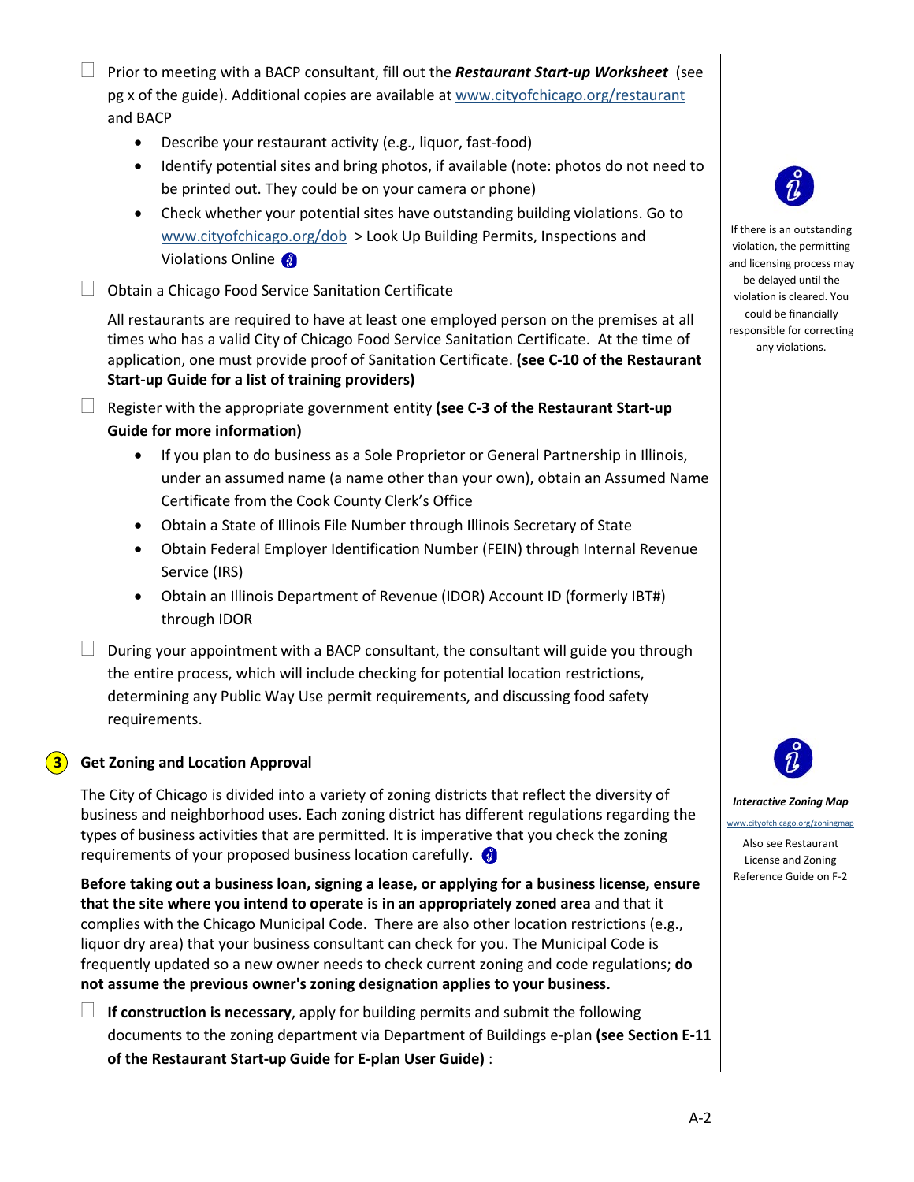Prior to meeting with a BACP consultant, fill out the *Restaurant Start-up Worksheet* (see pg x of the guide). Additional copies are available at [www.cityofchicago.org/restaurant](http://www.cityofchicago.org/restaurant) and BACP

- Describe your restaurant activity (e.g., liquor, fast-food)
- Identify potential sites and bring photos, if available (note: photos do not need to be printed out. They could be on your camera or phone)
- Check whether your potential sites have outstanding building violations. Go to [www.cityofchicago.org/dob](http://www.cityofchicago.org/dob) > Look Up Building Permits, Inspections and Violations Online &
- $\Box$  Obtain a Chicago Food Service Sanitation Certificate

All restaurants are required to have at least one employed person on the premises at all times who has a valid City of Chicago Food Service Sanitation Certificate. At the time of application, one must provide proof of Sanitation Certificate. **(see C-10 of the Restaurant Start-up Guide for a list of training providers)**

 Register with the appropriate government entity **(see C-3 of the Restaurant Start-up Guide for more information)**

- If you plan to do business as a Sole Proprietor or General Partnership in Illinois, under an assumed name (a name other than your own), obtain an Assumed Name Certificate from the Cook County Clerk's Office
- Obtain a State of Illinois File Number through Illinois Secretary of State
- Obtain Federal Employer Identification Number (FEIN) through Internal Revenue Service (IRS)
- Obtain an Illinois Department of Revenue (IDOR) Account ID (formerly IBT#) through IDOR

 During your appointment with a BACP consultant, the consultant will guide you through the entire process, which will include checking for potential location restrictions, determining any Public Way Use permit requirements, and discussing food safety requirements.

**3 Get Zoning and Location Approval**

The City of Chicago is divided into a variety of zoning districts that reflect the diversity of business and neighborhood uses. Each zoning district has different regulations regarding the types of business activities that are permitted. It is imperative that you check the zoning requirements of your proposed business location carefully.  $\bullet$ 

**Before taking out a business loan, signing a lease, or applying for a business license, ensure that the site where you intend to operate is in an appropriately zoned area** and that it complies with the Chicago Municipal Code. There are also other location restrictions (e.g., liquor dry area) that your business consultant can check for you. The Municipal Code is frequently updated so a new owner needs to check current zoning and code regulations; **do not assume the previous owner's zoning designation applies to your business.**

**If construction is necessary**, apply for building permits and submit the following documents to the zoning department via Department of Buildings e-plan **(see Section E-11 of the Restaurant Start-up Guide for E-plan User Guide)** :



If there is an outstanding violation, the permitting and licensing process may be delayed until the violation is cleared. You could be financially responsible for correcting any violations.



#### *Interactive Zoning Map*

[www.cityofchicago.org/zoningmap](http://www.cityofchicago.org/zoningmap) Also see Restaurant License and Zoning Reference Guide on F-2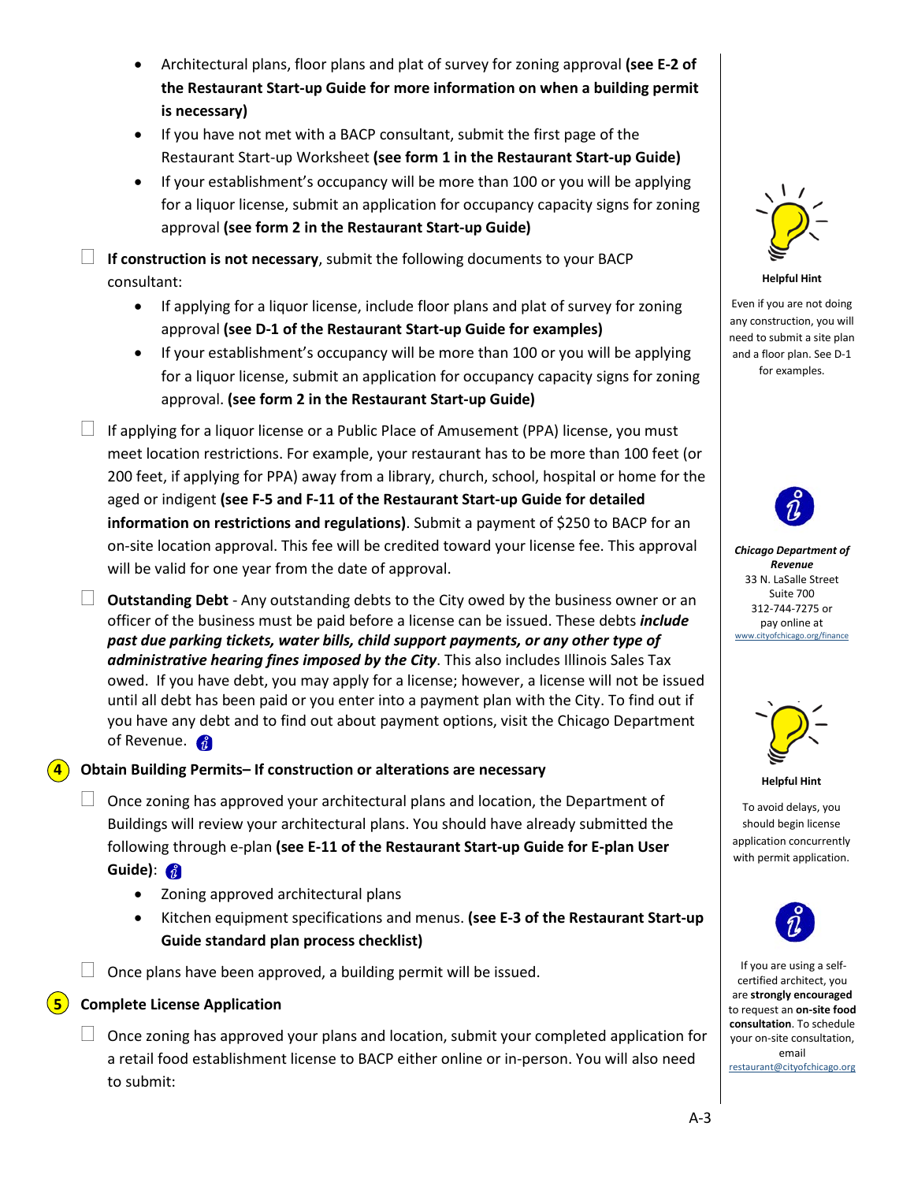- Architectural plans, floor plans and plat of survey for zoning approval **(see E-2 of the Restaurant Start-up Guide for more information on when a building permit is necessary)**
- If you have not met with a BACP consultant, submit the first page of the Restaurant Start-up Worksheet **(see form 1 in the Restaurant Start-up Guide)**
- If your establishment's occupancy will be more than 100 or you will be applying for a liquor license, submit an application for occupancy capacity signs for zoning approval **(see form 2 in the Restaurant Start-up Guide)**

 **If construction is not necessary**, submit the following documents to your BACP consultant:

- If applying for a liquor license, include floor plans and plat of survey for zoning approval **(see D-1 of the Restaurant Start-up Guide for examples)**
- If your establishment's occupancy will be more than 100 or you will be applying for a liquor license, submit an application for occupancy capacity signs for zoning approval. **(see form 2 in the Restaurant Start-up Guide)**

 $\Box$  If applying for a liquor license or a Public Place of Amusement (PPA) license, you must meet location restrictions. For example, your restaurant has to be more than 100 feet (or 200 feet, if applying for PPA) away from a library, church, school, hospital or home for the aged or indigent **(see F-5 and F-11 of the Restaurant Start-up Guide for detailed information on restrictions and regulations)**. Submit a payment of \$250 to BACP for an on-site location approval. This fee will be credited toward your license fee. This approval will be valid for one year from the date of approval.

 $\Box$  **Outstanding Debt** - Any outstanding debts to the City owed by the business owner or an officer of the business must be paid before a license can be issued. These debts *include past due parking tickets, water bills, child support payments, or any other type of administrative hearing fines imposed by the City*. This also includes Illinois Sales Tax owed. If you have debt, you may apply for a license; however, a license will not be issued until all debt has been paid or you enter into a payment plan with the City. To find out if you have any debt and to find out about payment options, visit the Chicago Department of Revenue. **a** 

## **4 Obtain Building Permits– If construction or alterations are necessary**

 Once zoning has approved your architectural plans and location, the Department of Buildings will review your architectural plans. You should have already submitted the following through e-plan **(see E-11 of the Restaurant Start-up Guide for E-plan User Guide)**:

- Zoning approved architectural plans
- Kitchen equipment specifications and menus. **(see E-3 of the Restaurant Start-up Guide standard plan process checklist)**

Once plans have been approved, a building permit will be issued.

## **5 Complete License Application**

 $\Box$  Once zoning has approved your plans and location, submit your completed application for a retail food establishment license to BACP either online or in-person. You will also need to submit:



**Helpful Hint**

Even if you are not doing any construction, you will need to submit a site plan and a floor plan. See D-1 for examples.



*Chicago Department of Revenue* 33 N. LaSalle Street Suite 700 312-744-7275 or pay online at [www.cityofchicago.org/finance](http://www.cityofchicago.org/finance)



**Helpful Hint**

To avoid delays, you should begin license application concurrently with permit application.



If you are using a selfcertified architect, you are **strongly encouraged** to request an **on-site food consultation**. To schedule your on-site consultation, email [restaurant@cityofchicago.org](mailto:restaurant@cityofchicago.org)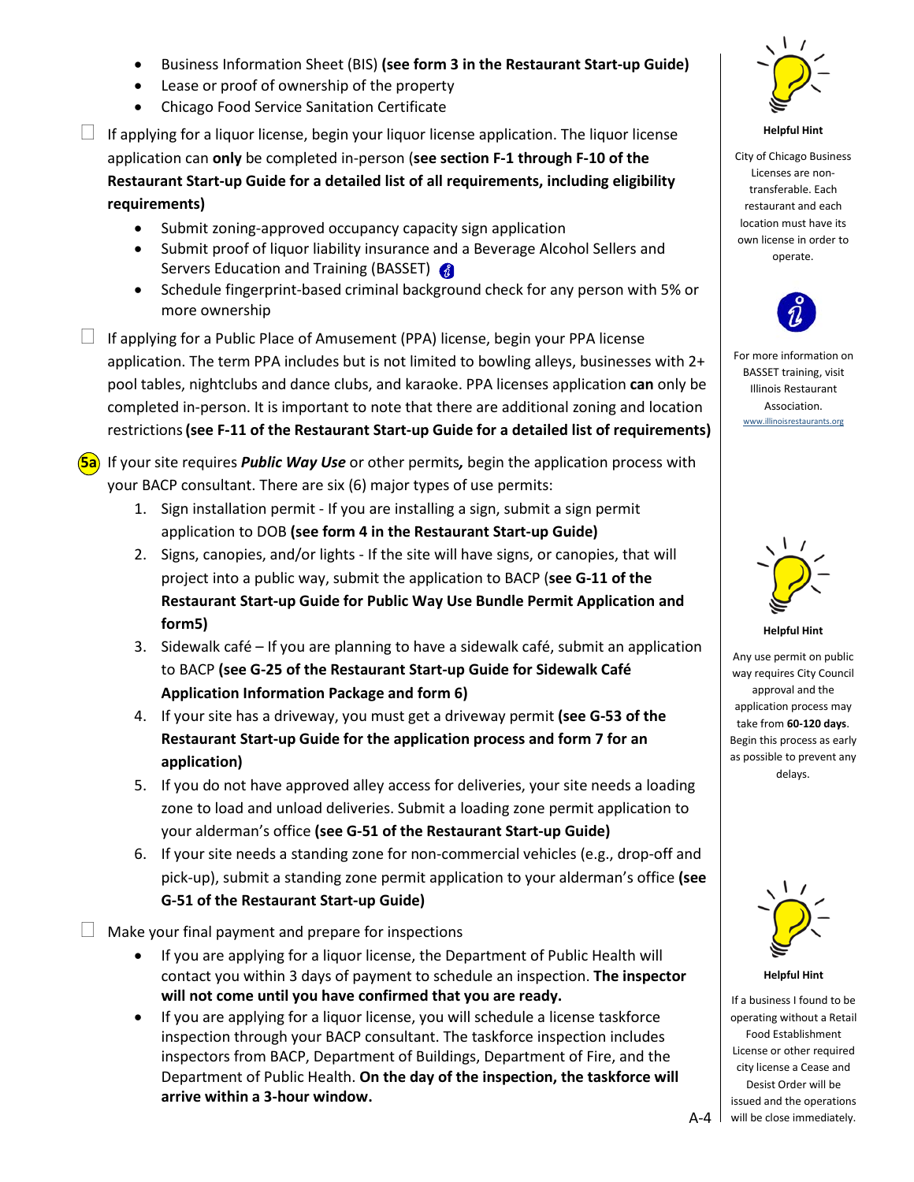- Business Information Sheet (BIS) **(see form 3 in the Restaurant Start-up Guide)**
- Lease or proof of ownership of the property
- Chicago Food Service Sanitation Certificate

 $\Box$  If applying for a liquor license, begin your liquor license application. The liquor license application can **only** be completed in-person (**see section F-1 through F-10 of the Restaurant Start-up Guide for a detailed list of all requirements, including eligibility requirements)**

- Submit zoning-approved occupancy capacity sign application
- Submit proof of liquor liability insurance and a Beverage Alcohol Sellers and Servers Education and Training (BASSET)
- Schedule fingerprint-based criminal background check for any person with 5% or more ownership
- $\Box$  If applying for a Public Place of Amusement (PPA) license, begin your PPA license application. The term PPA includes but is not limited to bowling alleys, businesses with 2+ pool tables, nightclubs and dance clubs, and karaoke. PPA licenses application **can** only be completed in-person. It is important to note that there are additional zoning and location restrictions**(see F-11 of the Restaurant Start-up Guide for a detailed list of requirements)**

**5a** If your site requires *Public Way Use* or other permits*,* begin the application process with your BACP consultant. There are six (6) major types of use permits:

- 1. Sign installation permit If you are installing a sign, submit a sign permit application to DOB **(see form 4 in the Restaurant Start-up Guide)**
- 2. Signs, canopies, and/or lights If the site will have signs, or canopies, that will project into a public way, submit the application to BACP (**see G-11 of the Restaurant Start-up Guide for Public Way Use Bundle Permit Application and form5)**
- 3. Sidewalk café If you are planning to have a sidewalk café, submit an application to BACP **(see G-25 of the Restaurant Start-up Guide for Sidewalk Café Application Information Package and form 6)**
- 4. If your site has a driveway, you must get a driveway permit **(see G-53 of the Restaurant Start-up Guide for the application process and form 7 for an application)**
- 5. If you do not have approved alley access for deliveries, your site needs a loading zone to load and unload deliveries. Submit a loading zone permit application to your alderman's office **(see G-51 of the Restaurant Start-up Guide)**
- 6. If your site needs a standing zone for non-commercial vehicles (e.g., drop-off and pick-up), submit a standing zone permit application to your alderman's office **(see G-51 of the Restaurant Start-up Guide)**

 $\Box$  Make your final payment and prepare for inspections

- If you are applying for a liquor license, the Department of Public Health will contact you within 3 days of payment to schedule an inspection. **The inspector will not come until you have confirmed that you are ready.**
- If you are applying for a liquor license, you will schedule a license taskforce inspection through your BACP consultant. The taskforce inspection includes inspectors from BACP, Department of Buildings, Department of Fire, and the Department of Public Health. **On the day of the inspection, the taskforce will arrive within a 3-hour window.**



**Helpful Hint**

City of Chicago Business Licenses are nontransferable. Each restaurant and each location must have its own license in order to operate.



For more information on BASSET training, visit Illinois Restaurant Association. [www.illinoisrestaurants.org](http://www.illinoisrestaurants.org/)



**Helpful Hint**

Any use permit on public way requires City Council approval and the application process may take from **60-120 days**. Begin this process as early as possible to prevent any delays.



**Helpful Hint**

If a business I found to be operating without a Retail Food Establishment License or other required city license a Cease and Desist Order will be issued and the operations will be close immediately.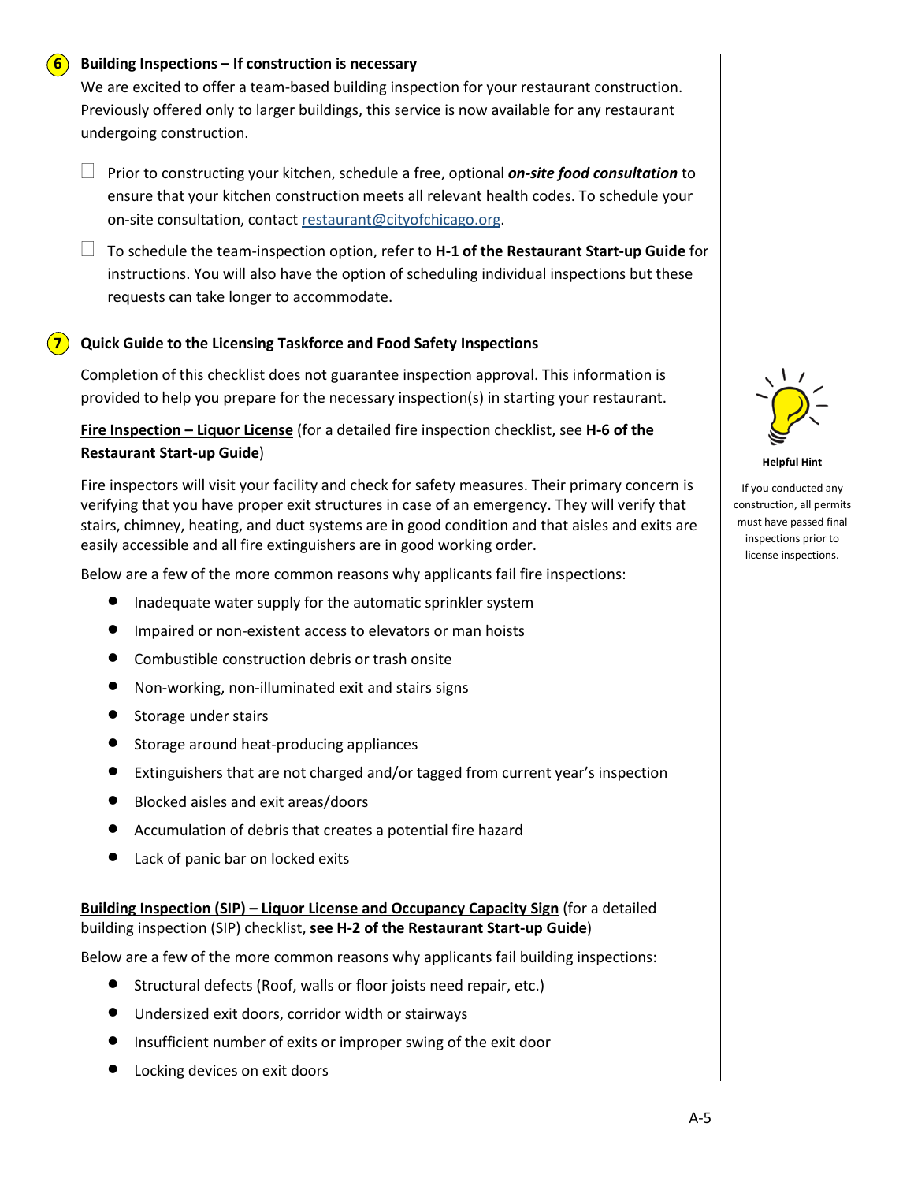#### **6 Building Inspections – If construction is necessary**

We are excited to offer a team-based building inspection for your restaurant construction. Previously offered only to larger buildings, this service is now available for any restaurant undergoing construction.

- Prior to constructing your kitchen, schedule a free, optional *on-site food consultation* to ensure that your kitchen construction meets all relevant health codes. To schedule your on-site consultation, contact [restaurant@cityofchicago.org.](mailto:restaurant@cityofchicago.org)
- To schedule the team-inspection option, refer to **H-1 of the Restaurant Start-up Guide** for instructions. You will also have the option of scheduling individual inspections but these requests can take longer to accommodate.

#### **7 Quick Guide to the Licensing Taskforce and Food Safety Inspections**

Completion of this checklist does not guarantee inspection approval. This information is provided to help you prepare for the necessary inspection(s) in starting your restaurant.

**Fire Inspection – Liquor License** (for a detailed fire inspection checklist, see **H-6 of the Restaurant Start-up Guide**)

Fire inspectors will visit your facility and check for safety measures. Their primary concern is verifying that you have proper exit structures in case of an emergency. They will verify that stairs, chimney, heating, and duct systems are in good condition and that aisles and exits are easily accessible and all fire extinguishers are in good working order.

Below are a few of the more common reasons why applicants fail fire inspections:

- Inadequate water supply for the automatic sprinkler system
- Impaired or non-existent access to elevators or man hoists
- Combustible construction debris or trash onsite
- Non-working, non-illuminated exit and stairs signs
- Storage under stairs
- Storage around heat-producing appliances
- Extinguishers that are not charged and/or tagged from current year's inspection
- Blocked aisles and exit areas/doors
- Accumulation of debris that creates a potential fire hazard
- Lack of panic bar on locked exits

#### **Building Inspection (SIP) – Liquor License and Occupancy Capacity Sign** (for a detailed building inspection (SIP) checklist, **see H-2 of the Restaurant Start-up Guide**)

Below are a few of the more common reasons why applicants fail building inspections:

- Structural defects (Roof, walls or floor joists need repair, etc.)
- Undersized exit doors, corridor width or stairways
- Insufficient number of exits or improper swing of the exit door
- Locking devices on exit doors



**Helpful Hint**

If you conducted any construction, all permits must have passed final inspections prior to license inspections.